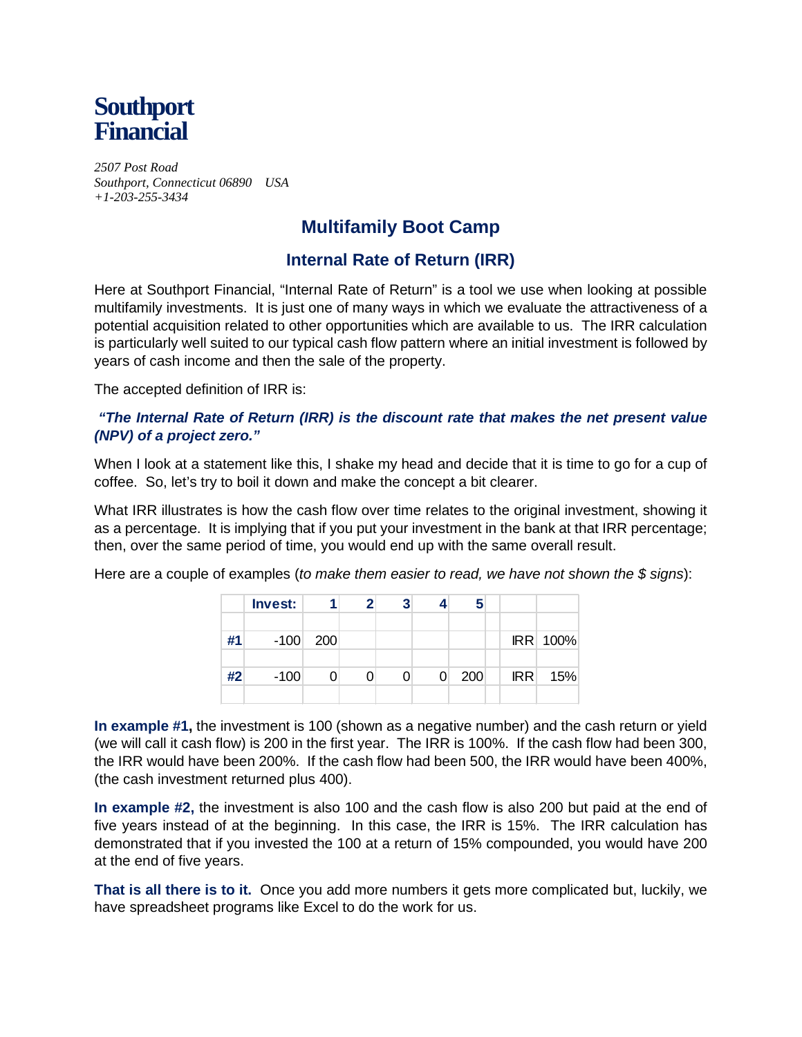

*2507 Post Road Southport, Connecticut 06890 USA +1-203-255-3434* 

# **Multifamily Boot Camp**

# **Internal Rate of Return (IRR)**

Here at Southport Financial, "Internal Rate of Return" is a tool we use when looking at possible multifamily investments. It is just one of many ways in which we evaluate the attractiveness of a potential acquisition related to other opportunities which are available to us. The IRR calculation is particularly well suited to our typical cash flow pattern where an initial investment is followed by years of cash income and then the sale of the property.

The accepted definition of IRR is:

# *"The Internal Rate of Return (IRR) is the discount rate that makes the net present value (NPV) of a project zero."*

When I look at a statement like this, I shake my head and decide that it is time to go for a cup of coffee. So, let's try to boil it down and make the concept a bit clearer.

What IRR illustrates is how the cash flow over time relates to the original investment, showing it as a percentage. It is implying that if you put your investment in the bank at that IRR percentage; then, over the same period of time, you would end up with the same overall result.

Here are a couple of examples (*to make them easier to read, we have not shown the \$ signs*):

|    | Invest: |            | 2 | 3 |   | 5   |            |          |
|----|---------|------------|---|---|---|-----|------------|----------|
|    |         |            |   |   |   |     |            |          |
| #1 |         | $-100$ 200 |   |   |   |     |            | IRR 100% |
|    |         |            |   |   |   |     |            |          |
| #2 | $-100$  |            |   |   | 0 | 200 | <b>IRR</b> | 15%      |
|    |         |            |   |   |   |     |            |          |

**In example #1,** the investment is 100 (shown as a negative number) and the cash return or yield (we will call it cash flow) is 200 in the first year. The IRR is 100%. If the cash flow had been 300, the IRR would have been 200%. If the cash flow had been 500, the IRR would have been 400%, (the cash investment returned plus 400).

**In example #2,** the investment is also 100 and the cash flow is also 200 but paid at the end of five years instead of at the beginning. In this case, the IRR is 15%. The IRR calculation has demonstrated that if you invested the 100 at a return of 15% compounded, you would have 200 at the end of five years.

**That is all there is to it.** Once you add more numbers it gets more complicated but, luckily, we have spreadsheet programs like Excel to do the work for us.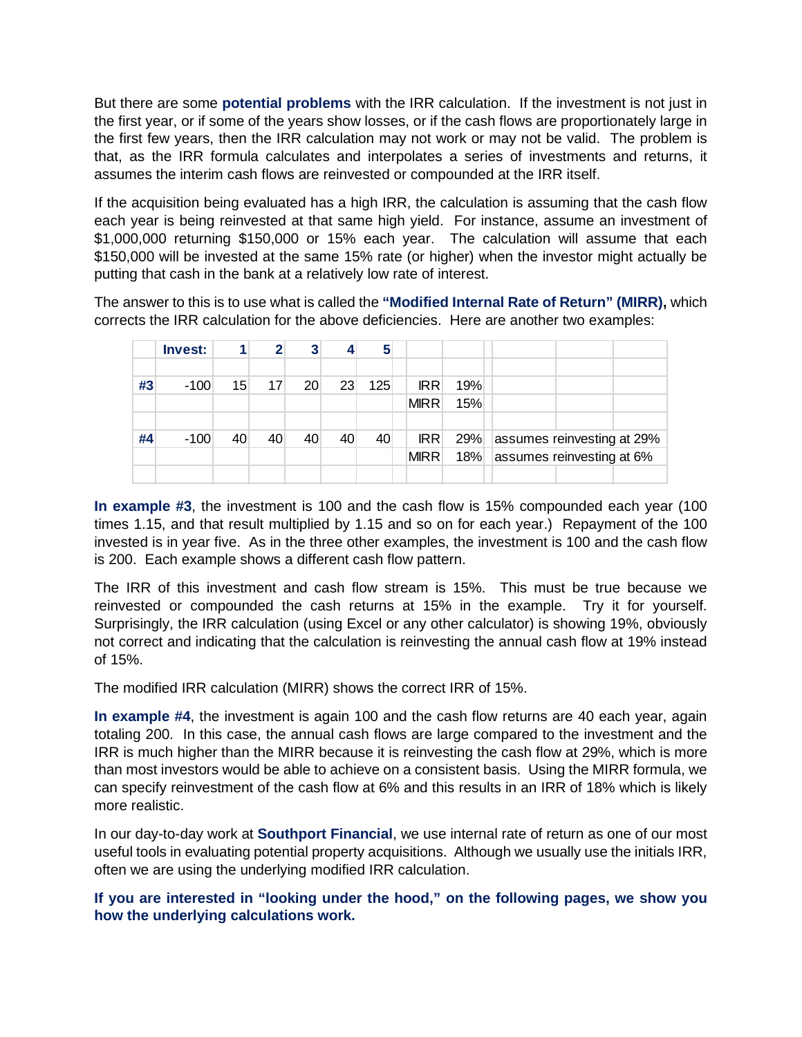But there are some **potential problems** with the IRR calculation. If the investment is not just in the first year, or if some of the years show losses, or if the cash flows are proportionately large in the first few years, then the IRR calculation may not work or may not be valid. The problem is that, as the IRR formula calculates and interpolates a series of investments and returns, it assumes the interim cash flows are reinvested or compounded at the IRR itself.

If the acquisition being evaluated has a high IRR, the calculation is assuming that the cash flow each year is being reinvested at that same high yield. For instance, assume an investment of \$1,000,000 returning \$150,000 or 15% each year. The calculation will assume that each \$150,000 will be invested at the same 15% rate (or higher) when the investor might actually be putting that cash in the bank at a relatively low rate of interest.

The answer to this is to use what is called the **"Modified Internal Rate of Return" (MIRR),** which corrects the IRR calculation for the above deficiencies. Here are another two examples:

|    | <b>Invest:</b> |    | 2  | 3  | 4  | 5   |             |            |     |                            |  |  |  |
|----|----------------|----|----|----|----|-----|-------------|------------|-----|----------------------------|--|--|--|
|    |                |    |    |    |    |     |             |            |     |                            |  |  |  |
| #3 | $-100$         | 15 | 17 | 20 | 23 | 125 |             | <b>IRR</b> | 19% |                            |  |  |  |
|    |                |    |    |    |    |     | <b>MIRR</b> |            | 15% |                            |  |  |  |
|    |                |    |    |    |    |     |             |            |     |                            |  |  |  |
| #4 | $-100$         | 40 | 40 | 40 | 40 | 40  |             | <b>IRR</b> | 29% | assumes reinvesting at 29% |  |  |  |
|    |                |    |    |    |    |     | <b>MIRR</b> |            | 18% | assumes reinvesting at 6%  |  |  |  |
|    |                |    |    |    |    |     |             |            |     |                            |  |  |  |

**In example #3**, the investment is 100 and the cash flow is 15% compounded each year (100 times 1.15, and that result multiplied by 1.15 and so on for each year.) Repayment of the 100 invested is in year five. As in the three other examples, the investment is 100 and the cash flow is 200. Each example shows a different cash flow pattern.

The IRR of this investment and cash flow stream is 15%. This must be true because we reinvested or compounded the cash returns at 15% in the example. Try it for yourself. Surprisingly, the IRR calculation (using Excel or any other calculator) is showing 19%, obviously not correct and indicating that the calculation is reinvesting the annual cash flow at 19% instead of 15%.

The modified IRR calculation (MIRR) shows the correct IRR of 15%.

**In example #4**, the investment is again 100 and the cash flow returns are 40 each year, again totaling 200. In this case, the annual cash flows are large compared to the investment and the IRR is much higher than the MIRR because it is reinvesting the cash flow at 29%, which is more than most investors would be able to achieve on a consistent basis. Using the MIRR formula, we can specify reinvestment of the cash flow at 6% and this results in an IRR of 18% which is likely more realistic.

In our day-to-day work at **Southport Financial**, we use internal rate of return as one of our most useful tools in evaluating potential property acquisitions. Although we usually use the initials IRR, often we are using the underlying modified IRR calculation.

**If you are interested in "looking under the hood," on the following pages, we show you how the underlying calculations work.**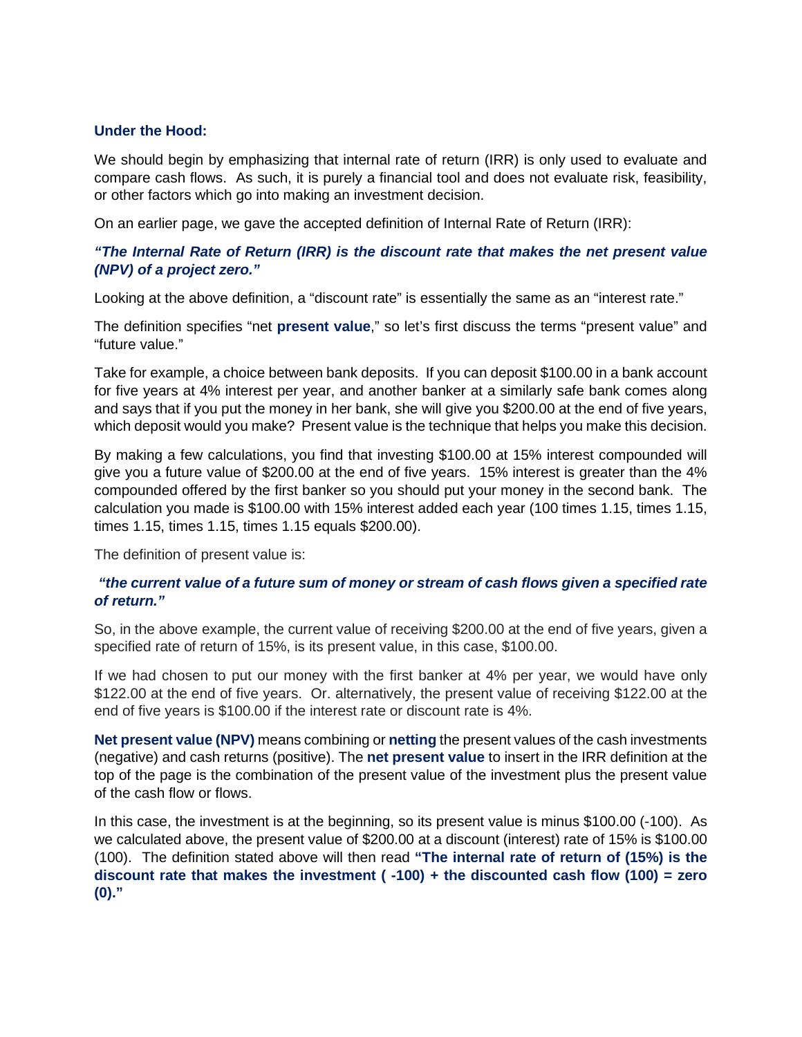#### **Under the Hood:**

We should begin by emphasizing that internal rate of return (IRR) is only used to evaluate and compare cash flows. As such, it is purely a financial tool and does not evaluate risk, feasibility, or other factors which go into making an investment decision.

On an earlier page, we gave the accepted definition of Internal Rate of Return (IRR):

# *"The Internal Rate of Return (IRR) is the discount rate that makes the net present value (NPV) of a project zero."*

Looking at the above definition, a "discount rate" is essentially the same as an "interest rate."

The definition specifies "net **present value**," so let's first discuss the terms "present value" and "future value."

Take for example, a choice between bank deposits. If you can deposit \$100.00 in a bank account for five years at 4% interest per year, and another banker at a similarly safe bank comes along and says that if you put the money in her bank, she will give you \$200.00 at the end of five years, which deposit would you make? Present value is the technique that helps you make this decision.

By making a few calculations, you find that investing \$100.00 at 15% interest compounded will give you a future value of \$200.00 at the end of five years. 15% interest is greater than the 4% compounded offered by the first banker so you should put your money in the second bank. The calculation you made is \$100.00 with 15% interest added each year (100 times 1.15, times 1.15, times 1.15, times 1.15, times 1.15 equals \$200.00).

The definition of present value is:

### *"the current value of a future sum of money or stream of cash flows given a specified rate of return."*

So, in the above example, the current value of receiving \$200.00 at the end of five years, given a specified rate of return of 15%, is its present value, in this case, \$100.00.

If we had chosen to put our money with the first banker at 4% per year, we would have only \$122.00 at the end of five years. Or. alternatively, the present value of receiving \$122.00 at the end of five years is \$100.00 if the interest rate or discount rate is 4%.

**Net present value (NPV)** means combining or **netting** the present values of the cash investments (negative) and cash returns (positive). The **net present value** to insert in the IRR definition at the top of the page is the combination of the present value of the investment plus the present value of the cash flow or flows.

In this case, the investment is at the beginning, so its present value is minus \$100.00 (-100). As we calculated above, the present value of \$200.00 at a discount (interest) rate of 15% is \$100.00 (100). The definition stated above will then read **"The internal rate of return of (15%) is the discount rate that makes the investment ( -100) + the discounted cash flow (100) = zero (0)."**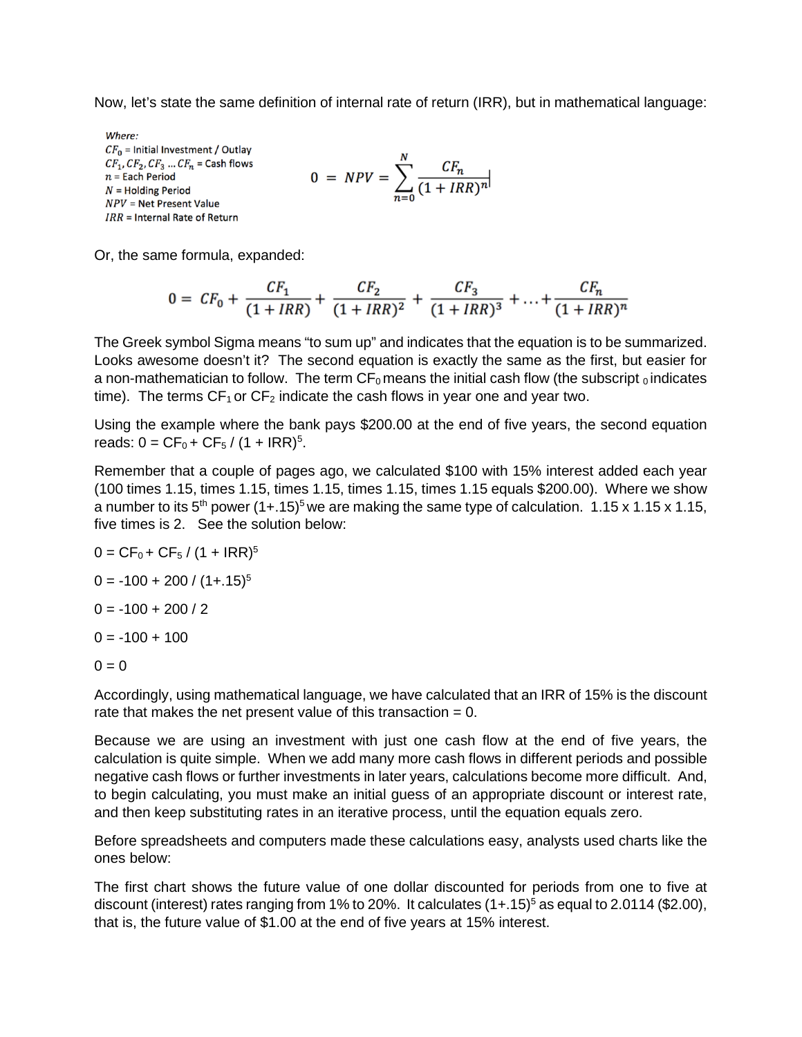Now, let's state the same definition of internal rate of return (IRR), but in mathematical language:

Where:  $CF<sub>0</sub>$  = Initial Investment / Ou  $CF_1, CF_2, CF_3 ... CF_n =$  Cash fl  $n =$  Each Period  $N =$  Holding Period  $NPV = Net Present Value$  $IRR = Internal Rate of Return$ 

$$
0 = NPV = \sum_{n=0}^{N} \frac{CF_n}{(1 + IRR)^n}
$$

Or, the same formula, expanded:

$$
0 = CF_0 + \frac{CF_1}{(1 + IRR)} + \frac{CF_2}{(1 + IRR)^2} + \frac{CF_3}{(1 + IRR)^3} + \ldots + \frac{CF_n}{(1 + IRR)^n}
$$

The Greek symbol Sigma means "to sum up" and indicates that the equation is to be summarized. Looks awesome doesn't it? The second equation is exactly the same as the first, but easier for a non-mathematician to follow. The term  $CF_0$  means the initial cash flow (the subscript  $_0$  indicates time). The terms  $CF_1$  or  $CF_2$  indicate the cash flows in year one and year two.

Using the example where the bank pays \$200.00 at the end of five years, the second equation reads:  $0 = CF_0 + CF_5 / (1 + IRR)^5$ .

Remember that a couple of pages ago, we calculated \$100 with 15% interest added each year (100 times 1.15, times 1.15, times 1.15, times 1.15, times 1.15 equals \$200.00). Where we show a number to its  $5<sup>th</sup>$  power (1+.15)<sup>5</sup> we are making the same type of calculation. 1.15 x 1.15 x 1.15, five times is 2. See the solution below:

 $0 = CF_0 + CF_5 / (1 + IRR)^5$  $0 = -100 + 200 / (1 + 0.15)^5$  $0 = -100 + 200 / 2$  $0 = -100 + 100$ 

 $0 = 0$ 

Accordingly, using mathematical language, we have calculated that an IRR of 15% is the discount rate that makes the net present value of this transaction  $= 0$ .

Because we are using an investment with just one cash flow at the end of five years, the calculation is quite simple. When we add many more cash flows in different periods and possible negative cash flows or further investments in later years, calculations become more difficult. And, to begin calculating, you must make an initial guess of an appropriate discount or interest rate, and then keep substituting rates in an iterative process, until the equation equals zero.

Before spreadsheets and computers made these calculations easy, analysts used charts like the ones below:

The first chart shows the future value of one dollar discounted for periods from one to five at discount (interest) rates ranging from 1% to 20%. It calculates  $(1+.15)^5$  as equal to 2.0114 (\$2.00), that is, the future value of \$1.00 at the end of five years at 15% interest.